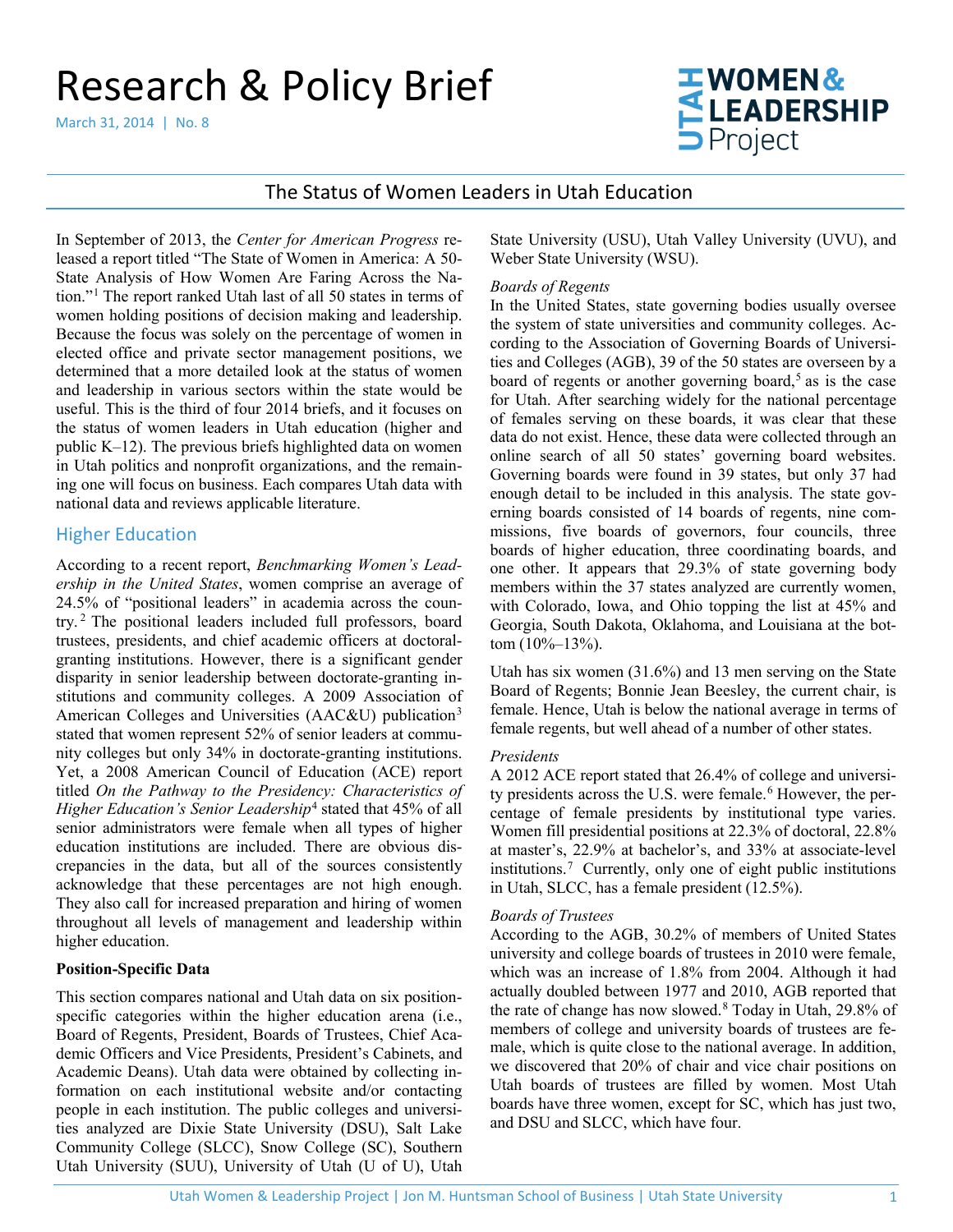# Research & Policy Brief

March 31, 2014 | No. 8



# The Status of Women Leaders in Utah Education

In September of 2013, the *Center for American Progress* released a report titled "The State of Women in America: A 50- State Analysis of How Women Are Faring Across the Nation."[1](#page-4-0) The report ranked Utah last of all 50 states in terms of women holding positions of decision making and leadership. Because the focus was solely on the percentage of women in elected office and private sector management positions, we determined that a more detailed look at the status of women and leadership in various sectors within the state would be useful. This is the third of four 2014 briefs, and it focuses on the status of women leaders in Utah education (higher and public K–12). The previous briefs highlighted data on women in Utah politics and nonprofit organizations, and the remaining one will focus on business. Each compares Utah data with national data and reviews applicable literature.

## Higher Education

According to a recent report, *Benchmarking Women's Leadership in the United States*, women comprise an average of 24.5% of "positional leaders" in academia across the country. [2](#page-4-1) The positional leaders included full professors, board trustees, presidents, and chief academic officers at doctoralgranting institutions. However, there is a significant gender disparity in senior leadership between doctorate-granting institutions and community colleges. A 2009 Association of American Colleges and Universities (AAC&U) publication<sup>[3](#page-4-2)</sup> stated that women represent 52% of senior leaders at community colleges but only 34% in doctorate-granting institutions. Yet, a 2008 American Council of Education (ACE) report titled *On the Pathway to the Presidency: Characteristics of Higher Education's Senior Leadership*[4](#page-4-3) stated that 45% of all senior administrators were female when all types of higher education institutions are included. There are obvious discrepancies in the data, but all of the sources consistently acknowledge that these percentages are not high enough. They also call for increased preparation and hiring of women throughout all levels of management and leadership within higher education.

#### **Position-Specific Data**

This section compares national and Utah data on six positionspecific categories within the higher education arena (i.e., Board of Regents, President, Boards of Trustees, Chief Academic Officers and Vice Presidents, President's Cabinets, and Academic Deans). Utah data were obtained by collecting information on each institutional website and/or contacting people in each institution. The public colleges and universities analyzed are Dixie State University (DSU), Salt Lake Community College (SLCC), Snow College (SC), Southern Utah University (SUU), University of Utah (U of U), Utah

State University (USU), Utah Valley University (UVU), and Weber State University (WSU).

#### *Boards of Regents*

In the United States, state governing bodies usually oversee the system of state universities and community colleges. According to the Association of Governing Boards of Universities and Colleges (AGB), 39 of the 50 states are overseen by a board of regents or another governing board, [5](#page-4-4) as is the case for Utah. After searching widely for the national percentage of females serving on these boards, it was clear that these data do not exist. Hence, these data were collected through an online search of all 50 states' governing board websites. Governing boards were found in 39 states, but only 37 had enough detail to be included in this analysis. The state governing boards consisted of 14 boards of regents, nine commissions, five boards of governors, four councils, three boards of higher education, three coordinating boards, and one other. It appears that 29.3% of state governing body members within the 37 states analyzed are currently women, with Colorado, Iowa, and Ohio topping the list at 45% and Georgia, South Dakota, Oklahoma, and Louisiana at the bottom  $(10\%-13\%)$ .

Utah has six women (31.6%) and 13 men serving on the State Board of Regents; Bonnie Jean Beesley, the current chair, is female. Hence, Utah is below the national average in terms of female regents, but well ahead of a number of other states.

#### *Presidents*

A 2012 ACE report stated that 26.4% of college and universi-ty presidents across the U.S. were female.<sup>[6](#page-4-5)</sup> However, the percentage of female presidents by institutional type varies. Women fill presidential positions at 22.3% of doctoral, 22.8% at master's, 22.9% at bachelor's, and 33% at associate-level institutions.[7](#page-4-6) Currently, only one of eight public institutions in Utah, SLCC, has a female president (12.5%).

#### *Boards of Trustees*

According to the AGB, 30.2% of members of United States university and college boards of trustees in 2010 were female, which was an increase of 1.8% from 2004. Although it had actually doubled between 1977 and 2010, AGB reported that the rate of change has now slowed. [8](#page-4-7) Today in Utah, 29.8% of members of college and university boards of trustees are female, which is quite close to the national average. In addition, we discovered that 20% of chair and vice chair positions on Utah boards of trustees are filled by women. Most Utah boards have three women, except for SC, which has just two, and DSU and SLCC, which have four.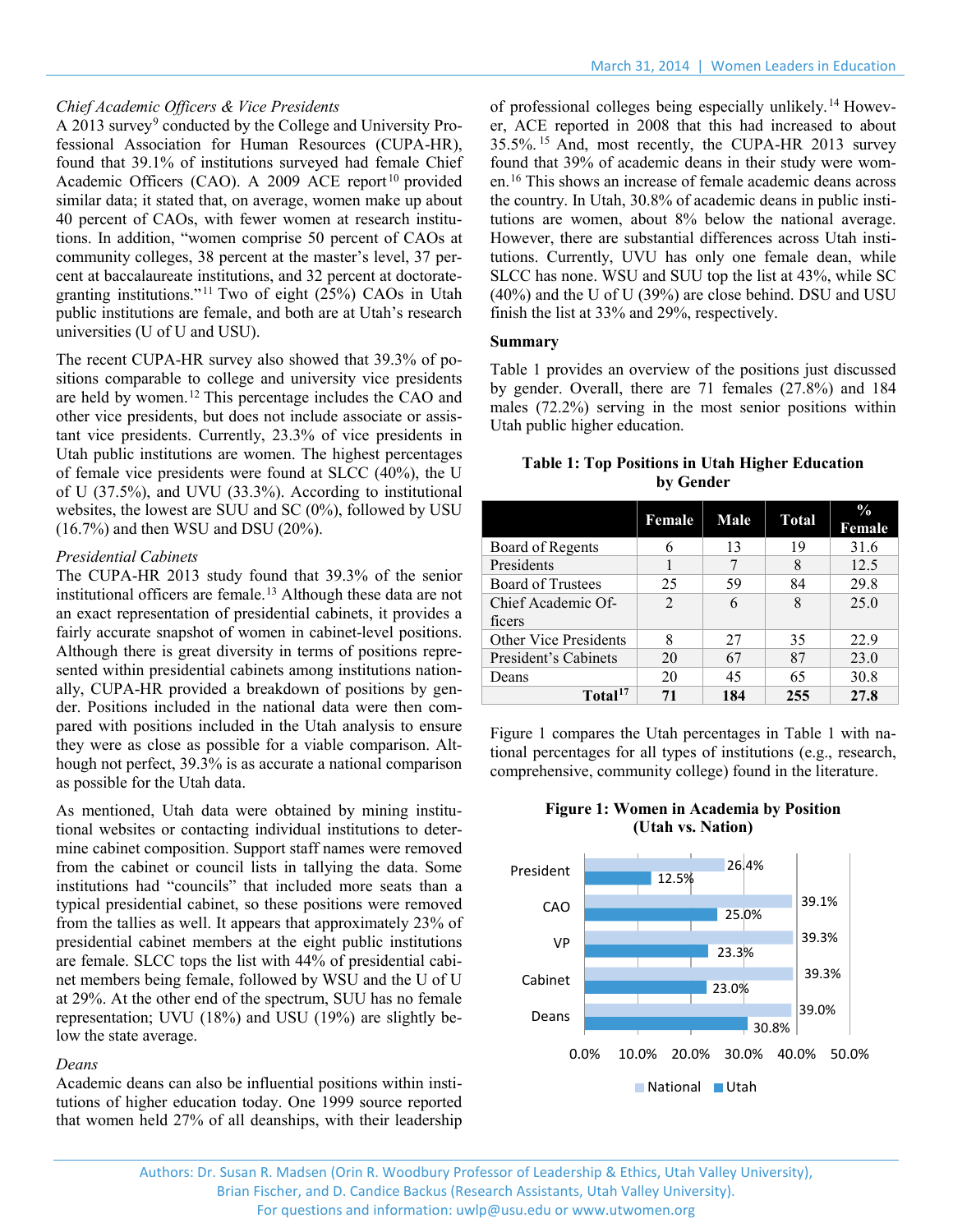## *Chief Academic Officers & Vice Presidents*

A 2013 survey<sup>[9](#page-4-8)</sup> conducted by the College and University Professional Association for Human Resources (CUPA-HR), found that 39.1% of institutions surveyed had female Chief Academic Officers (CAO). A 2009 ACE report<sup>[10](#page-4-9)</sup> provided similar data; it stated that, on average, women make up about 40 percent of CAOs, with fewer women at research institutions. In addition, "women comprise 50 percent of CAOs at community colleges, 38 percent at the master's level, 37 percent at baccalaureate institutions, and 32 percent at doctorategranting institutions."[11](#page-4-10) Two of eight (25%) CAOs in Utah public institutions are female, and both are at Utah's research universities (U of U and USU).

The recent CUPA-HR survey also showed that 39.3% of positions comparable to college and university vice presidents are held by women.[12](#page-4-11) This percentage includes the CAO and other vice presidents, but does not include associate or assistant vice presidents. Currently, 23.3% of vice presidents in Utah public institutions are women. The highest percentages of female vice presidents were found at SLCC (40%), the U of U (37.5%), and UVU (33.3%). According to institutional websites, the lowest are SUU and SC (0%), followed by USU (16.7%) and then WSU and DSU (20%).

#### *Presidential Cabinets*

The CUPA-HR 2013 study found that 39.3% of the senior institutional officers are female. [13](#page-4-12) Although these data are not an exact representation of presidential cabinets, it provides a fairly accurate snapshot of women in cabinet-level positions. Although there is great diversity in terms of positions represented within presidential cabinets among institutions nationally, CUPA-HR provided a breakdown of positions by gender. Positions included in the national data were then compared with positions included in the Utah analysis to ensure they were as close as possible for a viable comparison. Although not perfect, 39.3% is as accurate a national comparison as possible for the Utah data.

As mentioned, Utah data were obtained by mining institutional websites or contacting individual institutions to determine cabinet composition. Support staff names were removed from the cabinet or council lists in tallying the data. Some institutions had "councils" that included more seats than a typical presidential cabinet, so these positions were removed from the tallies as well. It appears that approximately 23% of presidential cabinet members at the eight public institutions are female. SLCC tops the list with 44% of presidential cabinet members being female, followed by WSU and the U of U at 29%. At the other end of the spectrum, SUU has no female representation; UVU (18%) and USU (19%) are slightly below the state average.

#### *Deans*

Academic deans can also be influential positions within institutions of higher education today. One 1999 source reported that women held 27% of all deanships, with their leadership of professional colleges being especially unlikely.[14](#page-4-13) However, ACE reported in 2008 that this had increased to about 35.5%. [15](#page-4-14) And, most recently, the CUPA-HR 2013 survey found that 39% of academic deans in their study were women.[16](#page-4-15) This shows an increase of female academic deans across the country. In Utah, 30.8% of academic deans in public institutions are women, about 8% below the national average. However, there are substantial differences across Utah institutions. Currently, UVU has only one female dean, while SLCC has none. WSU and SUU top the list at 43%, while SC (40%) and the U of U (39%) are close behind. DSU and USU finish the list at 33% and 29%, respectively.

#### **Summary**

Table 1 provides an overview of the positions just discussed by gender. Overall, there are 71 females (27.8%) and 184 males (72.2%) serving in the most senior positions within Utah public higher education.

| <b>Table 1: Top Positions in Utah Higher Education</b> |           |  |  |
|--------------------------------------------------------|-----------|--|--|
|                                                        | by Gender |  |  |

|                              | Female                      | Male | <b>Total</b> | $\frac{0}{0}$<br>Female |
|------------------------------|-----------------------------|------|--------------|-------------------------|
| Board of Regents             |                             | 13   | 19           | 31.6                    |
| Presidents                   |                             |      | 8            | 12.5                    |
| <b>Board of Trustees</b>     | 25                          | 59   | 84           | 29.8                    |
| Chief Academic Of-           | $\mathcal{D}_{\mathcal{A}}$ | 6    | 8            | 25.0                    |
| ficers                       |                             |      |              |                         |
| <b>Other Vice Presidents</b> | 8                           | 27   | 35           | 22.9                    |
| President's Cabinets         | 20                          | 67   | 87           | 23.0                    |
| Deans                        | 20                          | 45   | 65           | 30.8                    |
| Total <sup>17</sup>          | 71                          | 184  | 255          | 27.8                    |

Figure 1 compares the Utah percentages in Table 1 with national percentages for all types of institutions (e.g., research, comprehensive, community college) found in the literature.





Authors: Dr. Susan R. Madsen (Orin R. Woodbury Professor of Leadership & Ethics, Utah Valley University), Brian Fischer, and D. Candice Backus (Research Assistants, Utah Valley University). For questions and information: [uwlp@usu.edu](mailto:uwlp@usu.edu) or [www.utwomen.org](http://www.utwomen.org/)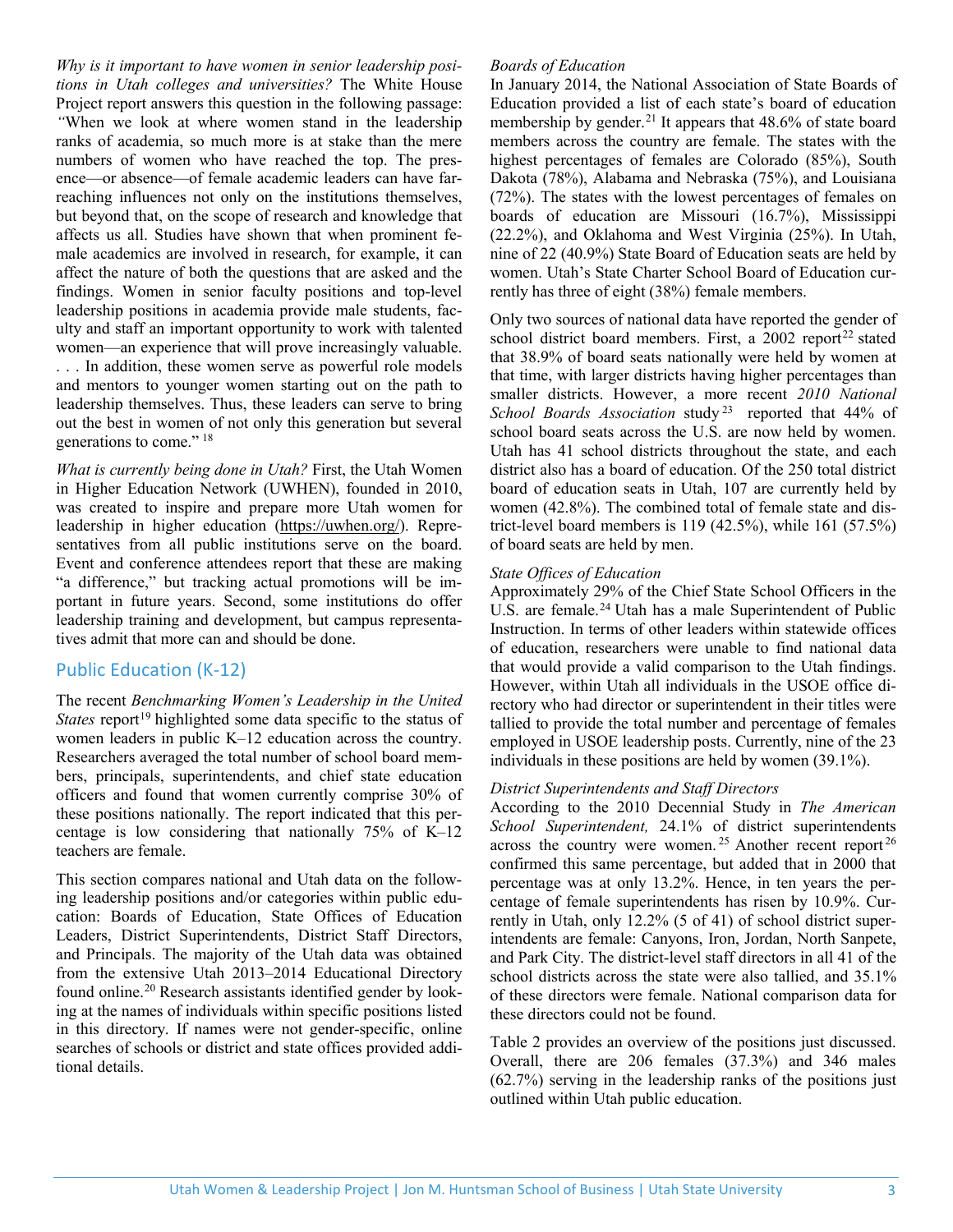*Why is it important to have women in senior leadership positions in Utah colleges and universities?* The White House Project report answers this question in the following passage: *"*When we look at where women stand in the leadership ranks of academia, so much more is at stake than the mere numbers of women who have reached the top. The presence—or absence—of female academic leaders can have farreaching influences not only on the institutions themselves, but beyond that, on the scope of research and knowledge that affects us all. Studies have shown that when prominent female academics are involved in research, for example, it can affect the nature of both the questions that are asked and the findings. Women in senior faculty positions and top-level leadership positions in academia provide male students, faculty and staff an important opportunity to work with talented women—an experience that will prove increasingly valuable. . . . In addition, these women serve as powerful role models and mentors to younger women starting out on the path to leadership themselves. Thus, these leaders can serve to bring out the best in women of not only this generation but several generations to come." [18](#page-4-17)

*What is currently being done in Utah?* First, the Utah Women in Higher Education Network (UWHEN), founded in 2010, was created to inspire and prepare more Utah women for leadership in higher education [\(https://uwhen.org/\)](https://uwhen.org/). Representatives from all public institutions serve on the board. Event and conference attendees report that these are making "a difference," but tracking actual promotions will be important in future years. Second, some institutions do offer leadership training and development, but campus representatives admit that more can and should be done.

# Public Education (K-12)

The recent *Benchmarking Women's Leadership in the United States* report<sup>[19](#page-4-18)</sup> highlighted some data specific to the status of women leaders in public K–12 education across the country. Researchers averaged the total number of school board members, principals, superintendents, and chief state education officers and found that women currently comprise 30% of these positions nationally. The report indicated that this percentage is low considering that nationally 75% of K–12 teachers are female.

This section compares national and Utah data on the following leadership positions and/or categories within public education: Boards of Education, State Offices of Education Leaders, District Superintendents, District Staff Directors, and Principals. The majority of the Utah data was obtained from the extensive Utah 2013–2014 Educational Directory found online.<sup>[20](#page-4-19)</sup> Research assistants identified gender by looking at the names of individuals within specific positions listed in this directory. If names were not gender-specific, online searches of schools or district and state offices provided additional details.

## *Boards of Education*

In January 2014, the National Association of State Boards of Education provided a list of each state's board of education membership by gender.<sup>[21](#page-4-20)</sup> It appears that 48.6% of state board members across the country are female. The states with the highest percentages of females are Colorado (85%), South Dakota (78%), Alabama and Nebraska (75%), and Louisiana (72%). The states with the lowest percentages of females on boards of education are Missouri (16.7%), Mississippi (22.2%), and Oklahoma and West Virginia (25%). In Utah, nine of 22 (40.9%) State Board of Education seats are held by women. Utah's State Charter School Board of Education currently has three of eight (38%) female members.

Only two sources of national data have reported the gender of school district board members. First, a 2002 report<sup>[22](#page-4-21)</sup> stated that 38.9% of board seats nationally were held by women at that time, with larger districts having higher percentages than smaller districts. However, a more recent *2010 National School Boards Association* study [23](#page-4-22) reported that 44% of school board seats across the U.S. are now held by women. Utah has 41 school districts throughout the state, and each district also has a board of education. Of the 250 total district board of education seats in Utah, 107 are currently held by women (42.8%). The combined total of female state and district-level board members is  $119(42.5\%)$ , while  $161(57.5\%)$ of board seats are held by men.

## *State Offices of Education*

Approximately 29% of the Chief State School Officers in the U.S. are female.<sup>[24](#page-4-23)</sup> Utah has a male Superintendent of Public Instruction. In terms of other leaders within statewide offices of education, researchers were unable to find national data that would provide a valid comparison to the Utah findings. However, within Utah all individuals in the USOE office directory who had director or superintendent in their titles were tallied to provide the total number and percentage of females employed in USOE leadership posts. Currently, nine of the 23 individuals in these positions are held by women (39.1%).

#### *District Superintendents and Staff Directors*

According to the 2010 Decennial Study in *The American School Superintendent,* 24.1% of district superintendents across the country were women.<sup>[25](#page-4-24)</sup> Another recent report<sup>[26](#page-4-25)</sup> confirmed this same percentage, but added that in 2000 that percentage was at only 13.2%. Hence, in ten years the percentage of female superintendents has risen by 10.9%. Currently in Utah, only 12.2% (5 of 41) of school district superintendents are female: Canyons, Iron, Jordan, North Sanpete, and Park City. The district-level staff directors in all 41 of the school districts across the state were also tallied, and 35.1% of these directors were female. National comparison data for these directors could not be found.

Table 2 provides an overview of the positions just discussed. Overall, there are 206 females (37.3%) and 346 males (62.7%) serving in the leadership ranks of the positions just outlined within Utah public education.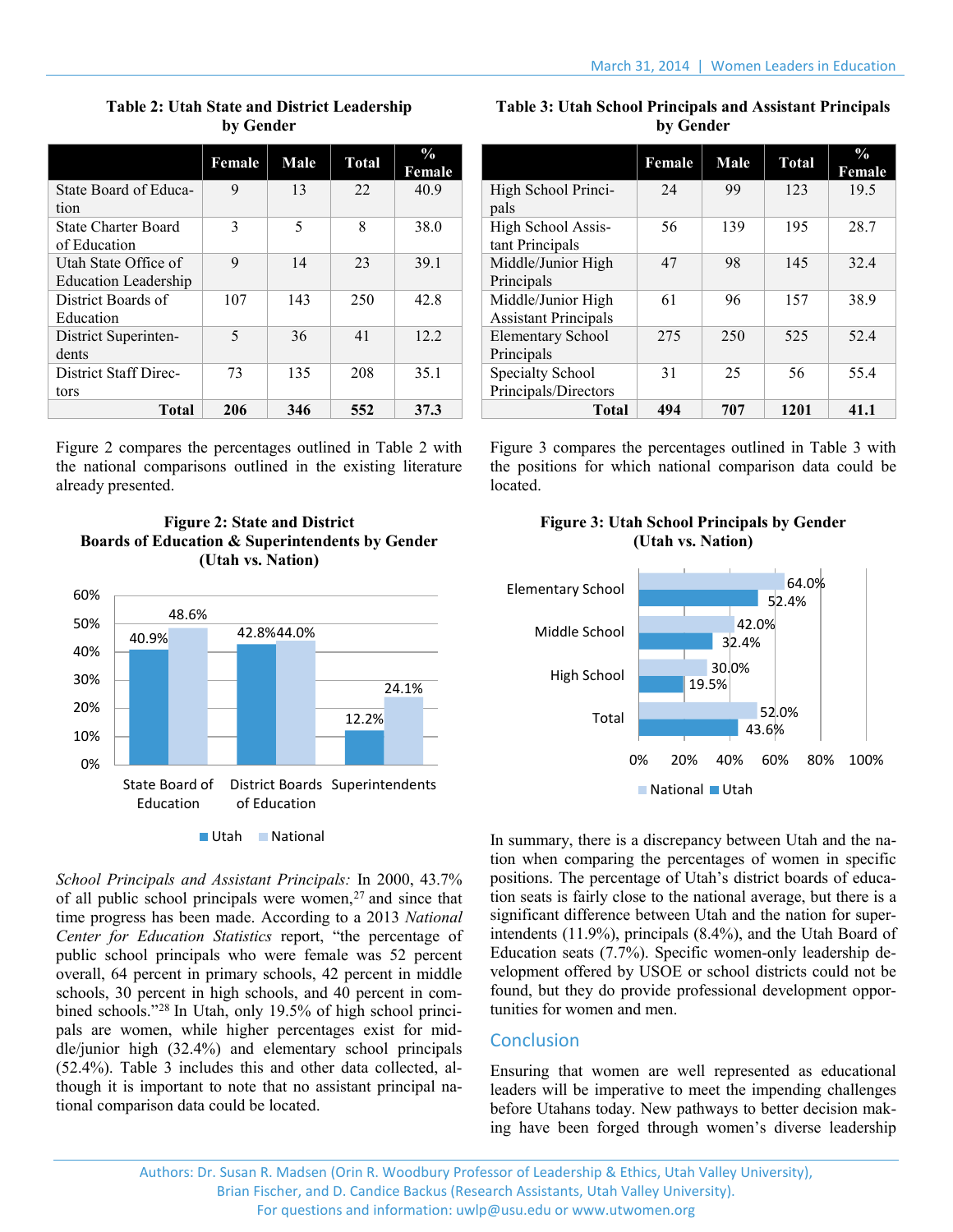|                             | Female | Male | <b>Total</b> | $\frac{0}{0}$<br>Female |
|-----------------------------|--------|------|--------------|-------------------------|
| State Board of Educa-       | 9      | 13   | 22.          | 40.9                    |
| tion                        |        |      |              |                         |
| State Charter Board         | 3      | 5    | 8            | 38.0                    |
| of Education                |        |      |              |                         |
| Utah State Office of        | 9      | 14   | 23           | 39.1                    |
| <b>Education Leadership</b> |        |      |              |                         |
| District Boards of          | 107    | 143  | 250          | 42.8                    |
| Education                   |        |      |              |                         |
| District Superinten-        | 5      | 36   | 41           | 12.2.                   |
| dents                       |        |      |              |                         |
| District Staff Direc-       | 73     | 135  | 208          | 35.1                    |
| tors                        |        |      |              |                         |
| <b>Total</b>                | 206    | 346  | 552          | 37.3                    |

# **Table 2: Utah State and District Leadership by Gender**

Figure 2 compares the percentages outlined in Table 2 with the national comparisons outlined in the existing literature already presented.

### **Figure 2: State and District Boards of Education & Superintendents by Gender (Utah vs. Nation)**



*School Principals and Assistant Principals:* In 2000, 43.7% of all public school principals were women, [27](#page-4-26) and since that time progress has been made. According to a 2013 *National Center for Education Statistics* report, "the percentage of public school principals who were female was 52 percent overall, 64 percent in primary schools, 42 percent in middle schools, 30 percent in high schools, and 40 percent in com-bined schools."<sup>[28](#page-4-27)</sup> In Utah, only 19.5% of high school principals are women, while higher percentages exist for middle/junior high (32.4%) and elementary school principals (52.4%). Table 3 includes this and other data collected, although it is important to note that no assistant principal national comparison data could be located.

**Table 3: Utah School Principals and Assistant Principals by Gender**

|                             | Female | <b>Male</b> | <b>Total</b> | $\frac{0}{0}$<br>Female |
|-----------------------------|--------|-------------|--------------|-------------------------|
| High School Princi-         | 24     | 99          | 123          | 19.5                    |
| pals                        |        |             |              |                         |
| High School Assis-          | 56     | 139         | 195          | 28.7                    |
| tant Principals             |        |             |              |                         |
| Middle/Junior High          | 47     | 98          | 145          | 32.4                    |
| Principals                  |        |             |              |                         |
| Middle/Junior High          | 61     | 96          | 157          | 38.9                    |
| <b>Assistant Principals</b> |        |             |              |                         |
| <b>Elementary School</b>    | 275    | 250         | 525          | 52.4                    |
| Principals                  |        |             |              |                         |
| Specialty School            | 31     | 25          | 56           | 55.4                    |
| Principals/Directors        |        |             |              |                         |
| <b>Total</b>                | 494    | 707         | 1201         | 41.1                    |

Figure 3 compares the percentages outlined in Table 3 with the positions for which national comparison data could be located.





In summary, there is a discrepancy between Utah and the nation when comparing the percentages of women in specific positions. The percentage of Utah's district boards of education seats is fairly close to the national average, but there is a significant difference between Utah and the nation for superintendents (11.9%), principals (8.4%), and the Utah Board of Education seats (7.7%). Specific women-only leadership development offered by USOE or school districts could not be found, but they do provide professional development opportunities for women and men.

# **Conclusion**

Ensuring that women are well represented as educational leaders will be imperative to meet the impending challenges before Utahans today. New pathways to better decision making have been forged through women's diverse leadership

Authors: Dr. Susan R. Madsen (Orin R. Woodbury Professor of Leadership & Ethics, Utah Valley University), Brian Fischer, and D. Candice Backus (Research Assistants, Utah Valley University). For questions and information: [uwlp@usu.edu](mailto:uwlp@usu.edu) or [www.utwomen.org](http://www.utwomen.org/)